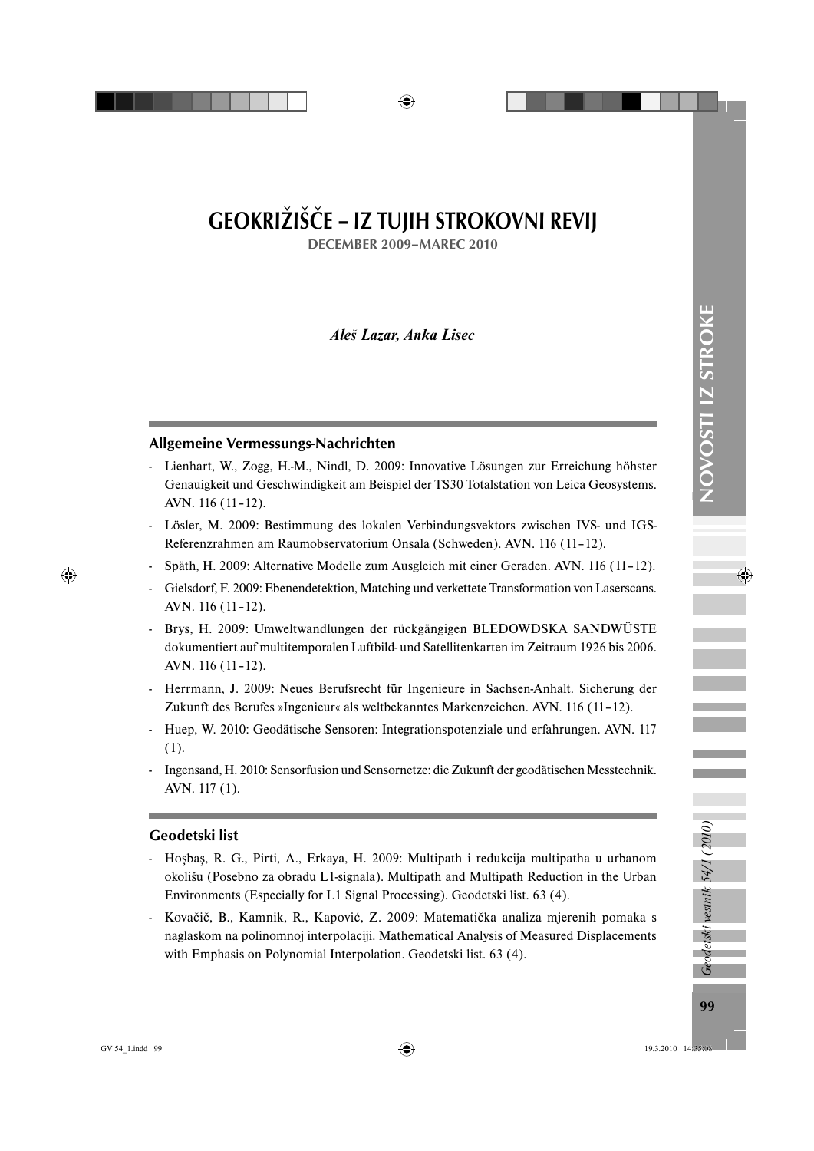# GEOKRIŽIŠČE – IZ TUJIH STROKOVNI REVIJ

DECEMBER 2009–MAREC 2010

*Aleš Lazar, Anka Lisec*

## Allgemeine Vermessungs-Nachrichten

- Lienhart, W., Zogg, H.-M., Nindl, D. 2009: Innovative Lösungen zur Erreichung höhster Genauigkeit und Geschwindigkeit am Beispiel der TS30 Totalstation von Leica Geosystems. AVN. 116 (11–12).
- Lösler, M. 2009: Bestimmung des lokalen Verbindungsvektors zwischen IVS- und IGS-Referenzrahmen am Raumobservatorium Onsala (Schweden). AVN. 116 (11–12).
- Späth, H. 2009: Alternative Modelle zum Ausgleich mit einer Geraden. AVN. 116 (11–12).
- Gielsdorf, F. 2009: Ebenendetektion, Matching und verkettete Transformation von Laserscans. AVN. 116 (11–12).
- Brys, H. 2009: Umweltwandlungen der rückgängigen BLEDOWDSKA SANDWÜSTE dokumentiert auf multitemporalen Luftbild- und Satellitenkarten im Zeitraum 1926 bis 2006. AVN. 116 (11–12).
- Herrmann, J. 2009: Neues Berufsrecht für Ingenieure in Sachsen-Anhalt. Sicherung der Zukunft des Berufes »Ingenieur« als weltbekanntes Markenzeichen. AVN. 116 (11–12).
- Huep, W. 2010: Geodätische Sensoren: Integrationspotenziale und erfahrungen. AVN. 117 (1).
- Ingensand, H. 2010: Sensorfusion und Sensornetze: die Zukunft der geodätischen Messtechnik. AVN. 117 (1).

## Geodetski list

- Hoşbaş, R. G., Pirti, A., Erkaya, H. 2009: Multipath i redukcija multipatha u urbanom okolišu (Posebno za obradu L1-signala). Multipath and Multipath Reduction in the Urban Environments (Especially for L1 Signal Processing). Geodetski list. 63 (4).
- Kovačič, B., Kamnik, R., Kapović, Z. 2009: Matematička analiza mjerenih pomaka s naglaskom na polinomnoj interpolaciji. Mathematical Analysis of Measured Displacements with Emphasis on Polynomial Interpolation. Geodetski list. 63 (4).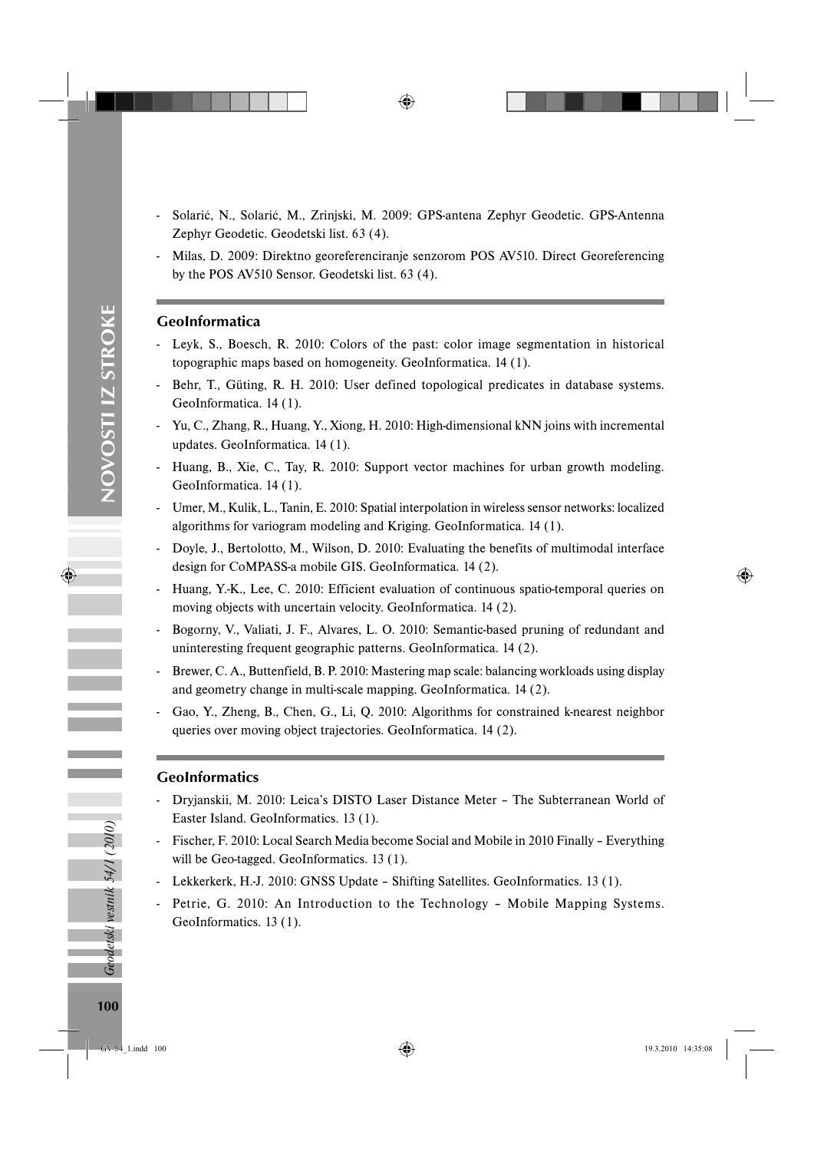- Solarić, N., Solarić, M., Zrinjski, M. 2009: GPS-antena Zephyr Geodetic. GPS-Antenna Zephyr Geodetic. Geodetski list. 63 (4).
- Milas, D. 2009: Direktno georeferenciranje senzorom POS AV510. Direct Georeferencing by the POS AV510 Sensor. Geodetski list. 63 (4).

#### GeoInformatica

- Leyk, S., Boesch, R. 2010: Colors of the past: color image segmentation in historical topographic maps based on homogeneity. GeoInformatica. 14 (1).
- Behr, T., Güting, R. H. 2010: User defined topological predicates in database systems. GeoInformatica. 14 (1).
- Yu, C., Zhang, R., Huang, Y., Xiong, H. 2010: High-dimensional kNN joins with incremental updates. GeoInformatica. 14 (1).
- Huang, B., Xie, C., Tay, R. 2010: Support vector machines for urban growth modeling. GeoInformatica. 14 (1).
- Umer, M., Kulik, L., Tanin, E. 2010: Spatial interpolation in wireless sensor networks: localized algorithms for variogram modeling and Kriging. GeoInformatica. 14 (1).
- Doyle, J., Bertolotto, M., Wilson, D. 2010: Evaluating the benefits of multimodal interface design for CoMPASS-a mobile GIS. GeoInformatica. 14 (2).
- Huang, Y.-K., Lee, C. 2010: Efficient evaluation of continuous spatio-temporal queries on moving objects with uncertain velocity. GeoInformatica. 14 (2).
- Bogorny, V., Valiati, J. F., Alvares, L. O. 2010: Semantic-based pruning of redundant and uninteresting frequent geographic patterns. GeoInformatica. 14 (2).
- Brewer, C. A., Buttenfield, B. P. 2010: Mastering map scale: balancing workloads using display and geometry change in multi-scale mapping. GeoInformatica. 14 (2).
- Gao, Y., Zheng, B., Chen, G., Li, Q. 2010: Algorithms for constrained k-nearest neighbor queries over moving object trajectories. GeoInformatica. 14 (2).

### GeoInformatics

- Dryjanskii, M. 2010: Leica's DISTO Laser Distance Meter The Subterranean World of Easter Island. GeoInformatics. 13 (1).
- Fischer, F. 2010: Local Search Media become Social and Mobile in 2010 Finally Everything will be Geo-tagged. GeoInformatics. 13 (1).
- Lekkerkerk, H.-J. 2010: GNSS Update Shifting Satellites. GeoInformatics. 13 (1).
- Petrie, G. 2010: An Introduction to the Technology Mobile Mapping Systems. GeoInformatics. 13 (1).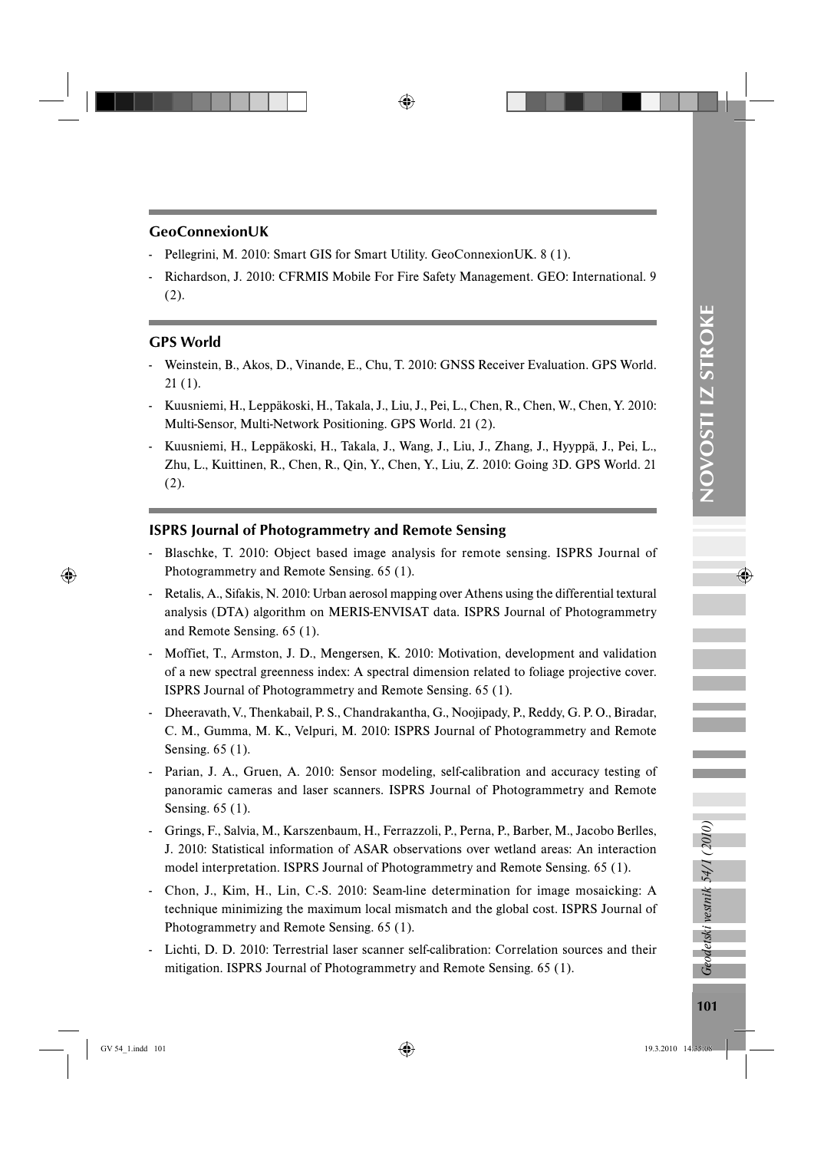#### GeoConnexionUK

- Pellegrini, M. 2010: Smart GIS for Smart Utility. GeoConnexionUK. 8 (1).
- Richardson, J. 2010: CFRMIS Mobile For Fire Safety Management. GEO: International. 9 (2).

#### GPS World

- Weinstein, B., Akos, D., Vinande, E., Chu, T. 2010: GNSS Receiver Evaluation. GPS World. 21 (1).
- Kuusniemi, H., Leppäkoski, H., Takala, J., Liu, J., Pei, L., Chen, R., Chen, W., Chen, Y. 2010: Multi-Sensor, Multi-Network Positioning. GPS World. 21 (2).
- Kuusniemi, H., Leppäkoski, H., Takala, J., Wang, J., Liu, J., Zhang, J., Hyyppä, J., Pei, L., Zhu, L., Kuittinen, R., Chen, R., Qin, Y., Chen, Y., Liu, Z. 2010: Going 3D. GPS World. 21 (2).

#### ISPRS Journal of Photogrammetry and Remote Sensing

- Blaschke, T. 2010: Object based image analysis for remote sensing. ISPRS Journal of Photogrammetry and Remote Sensing. 65 (1).
- Retalis, A., Sifakis, N. 2010: Urban aerosol mapping over Athens using the differential textural analysis (DTA) algorithm on MERIS-ENVISAT data. ISPRS Journal of Photogrammetry and Remote Sensing. 65 (1).
- Moffiet, T., Armston, J. D., Mengersen, K. 2010: Motivation, development and validation of a new spectral greenness index: A spectral dimension related to foliage projective cover. ISPRS Journal of Photogrammetry and Remote Sensing. 65 (1).
- Dheeravath, V., Thenkabail, P. S., Chandrakantha, G., Noojipady, P., Reddy, G. P. O., Biradar, C. M., Gumma, M. K., Velpuri, M. 2010: ISPRS Journal of Photogrammetry and Remote Sensing. 65 (1).
- Parian, J. A., Gruen, A. 2010: Sensor modeling, self-calibration and accuracy testing of panoramic cameras and laser scanners. ISPRS Journal of Photogrammetry and Remote Sensing. 65 (1).
- Grings, F., Salvia, M., Karszenbaum, H., Ferrazzoli, P., Perna, P., Barber, M., Jacobo Berlles, J. 2010: Statistical information of ASAR observations over wetland areas: An interaction model interpretation. ISPRS Journal of Photogrammetry and Remote Sensing. 65 (1).
- Chon, J., Kim, H., Lin, C.-S. 2010: Seam-line determination for image mosaicking: A technique minimizing the maximum local mismatch and the global cost. ISPRS Journal of Photogrammetry and Remote Sensing. 65 (1).
- Lichti, D. D. 2010: Terrestrial laser scanner self-calibration: Correlation sources and their mitigation. ISPRS Journal of Photogrammetry and Remote Sensing. 65 (1).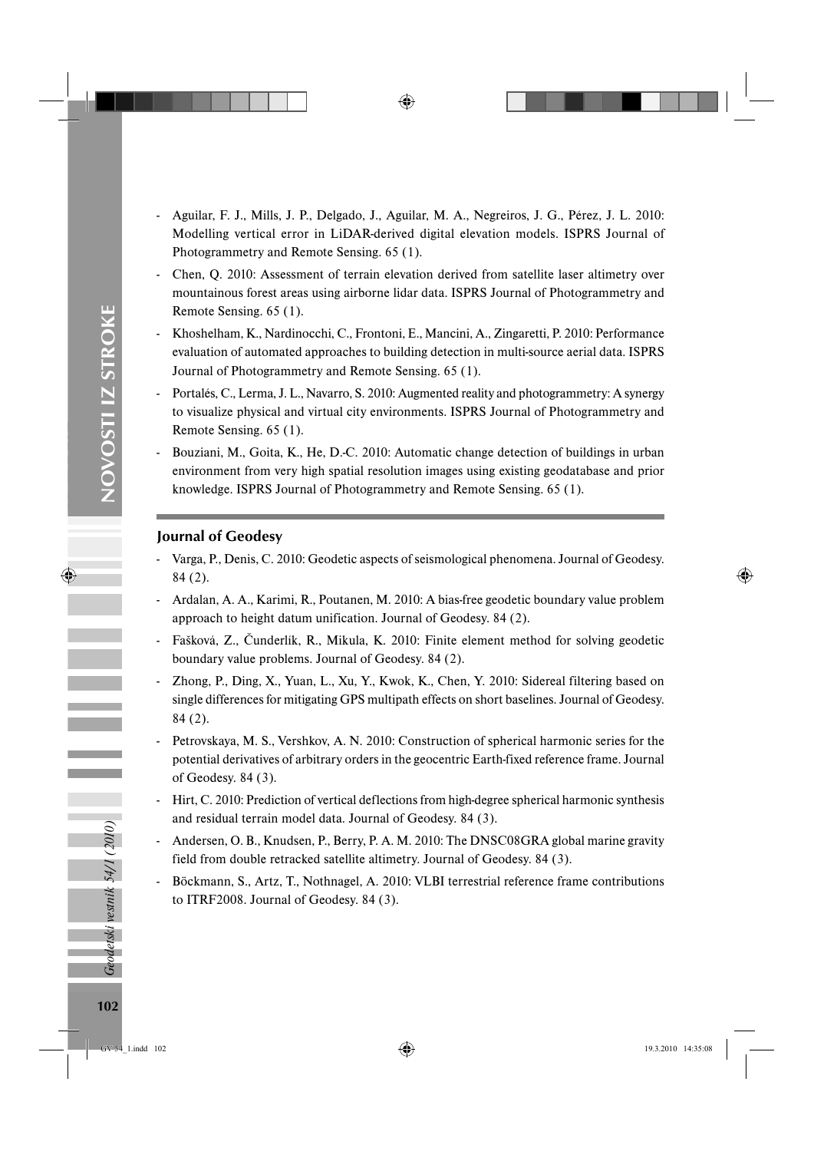- Aguilar, F. J., Mills, J. P., Delgado, J., Aguilar, M. A., Negreiros, J. G., Pérez, J. L. 2010: Modelling vertical error in LiDAR-derived digital elevation models. ISPRS Journal of Photogrammetry and Remote Sensing. 65 (1).
- Chen, Q. 2010: Assessment of terrain elevation derived from satellite laser altimetry over mountainous forest areas using airborne lidar data. ISPRS Journal of Photogrammetry and Remote Sensing. 65 (1).
- Khoshelham, K., Nardinocchi, C., Frontoni, E., Mancini, A., Zingaretti, P. 2010: Performance evaluation of automated approaches to building detection in multi-source aerial data. ISPRS Journal of Photogrammetry and Remote Sensing. 65 (1).
- Portalés, C., Lerma, J. L., Navarro, S. 2010: Augmented reality and photogrammetry: A synergy to visualize physical and virtual city environments. ISPRS Journal of Photogrammetry and Remote Sensing. 65 (1).
- Bouziani, M., Goita, K., He, D.-C. 2010: Automatic change detection of buildings in urban environment from very high spatial resolution images using existing geodatabase and prior knowledge. ISPRS Journal of Photogrammetry and Remote Sensing. 65 (1).

## Journal of Geodesy

- Varga, P., Denis, C. 2010: Geodetic aspects of seismological phenomena. Journal of Geodesy. 84 (2).
- Ardalan, A. A., Karimi, R., Poutanen, M. 2010: A bias-free geodetic boundary value problem approach to height datum unification. Journal of Geodesy. 84 (2).
- Fašková, Z., Čunderlík, R., Mikula, K. 2010: Finite element method for solving geodetic boundary value problems. Journal of Geodesy. 84 (2).
- Zhong, P., Ding, X., Yuan, L., Xu, Y., Kwok, K., Chen, Y. 2010: Sidereal filtering based on single differences for mitigating GPS multipath effects on short baselines. Journal of Geodesy. 84 (2).
- Petrovskaya, M. S., Vershkov, A. N. 2010: Construction of spherical harmonic series for the potential derivatives of arbitrary orders in the geocentric Earth-fixed reference frame. Journal of Geodesy. 84 (3).
- Hirt, C. 2010: Prediction of vertical deflections from high-degree spherical harmonic synthesis and residual terrain model data. Journal of Geodesy. 84 (3).
- Andersen, O. B., Knudsen, P., Berry, P. A. M. 2010: The DNSC08GRA global marine gravity field from double retracked satellite altimetry. Journal of Geodesy. 84 (3).
- Böckmann, S., Artz, T., Nothnagel, A. 2010: VLBI terrestrial reference frame contributions to ITRF2008. Journal of Geodesy. 84 (3).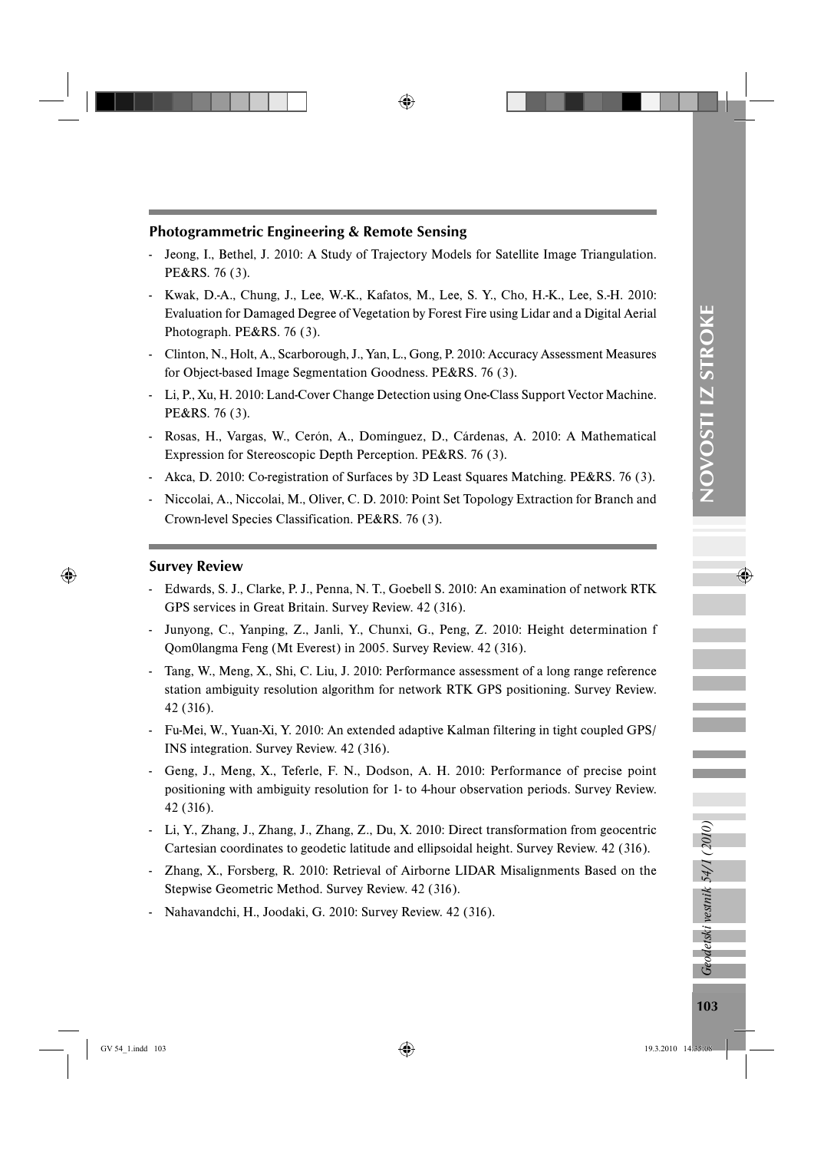## Photogrammetric Engineering & Remote Sensing

- Jeong, I., Bethel, J. 2010: A Study of Trajectory Models for Satellite Image Triangulation. PE&RS. 76 (3).
- Kwak, D.-A., Chung, J., Lee, W.-K., Kafatos, M., Lee, S. Y., Cho, H.-K., Lee, S.-H. 2010: Evaluation for Damaged Degree of Vegetation by Forest Fire using Lidar and a Digital Aerial Photograph. PE&RS. 76 (3).
- Clinton, N., Holt, A., Scarborough, J., Yan, L., Gong, P. 2010: Accuracy Assessment Measures for Object-based Image Segmentation Goodness. PE&RS. 76 (3).
- Li, P., Xu, H. 2010: Land-Cover Change Detection using One-Class Support Vector Machine. PE&RS. 76 (3).
- Rosas, H., Vargas, W., Cerón, A., Domínguez, D., Cárdenas, A. 2010: A Mathematical Expression for Stereoscopic Depth Perception. PE&RS. 76 (3).
- Akca, D. 2010: Co-registration of Surfaces by 3D Least Squares Matching. PE&RS. 76 (3).
- Niccolai, A., Niccolai, M., Oliver, C. D. 2010: Point Set Topology Extraction for Branch and Crown-level Species Classification. PE&RS. 76 (3).

#### Survey Review

- Edwards, S. J., Clarke, P. J., Penna, N. T., Goebell S. 2010: An examination of network RTK GPS services in Great Britain. Survey Review. 42 (316).
- Junyong, C., Yanping, Z., Janli, Y., Chunxi, G., Peng, Z. 2010: Height determination f Qom0langma Feng (Mt Everest) in 2005. Survey Review. 42 (316).
- Tang, W., Meng, X., Shi, C. Liu, J. 2010: Performance assessment of a long range reference station ambiguity resolution algorithm for network RTK GPS positioning. Survey Review. 42 (316).
- Fu-Mei, W., Yuan-Xi, Y. 2010: An extended adaptive Kalman filtering in tight coupled GPS/ INS integration. Survey Review. 42 (316).
- Geng, J., Meng, X., Teferle, F. N., Dodson, A. H. 2010: Performance of precise point positioning with ambiguity resolution for 1- to 4-hour observation periods. Survey Review. 42 (316).
- Li, Y., Zhang, J., Zhang, J., Zhang, Z., Du, X. 2010: Direct transformation from geocentric Cartesian coordinates to geodetic latitude and ellipsoidal height. Survey Review. 42 (316).
- Zhang, X., Forsberg, R. 2010: Retrieval of Airborne LIDAR Misalignments Based on the Stepwise Geometric Method. Survey Review. 42 (316).
- Nahavandchi, H., Joodaki, G. 2010: Survey Review. 42 (316).